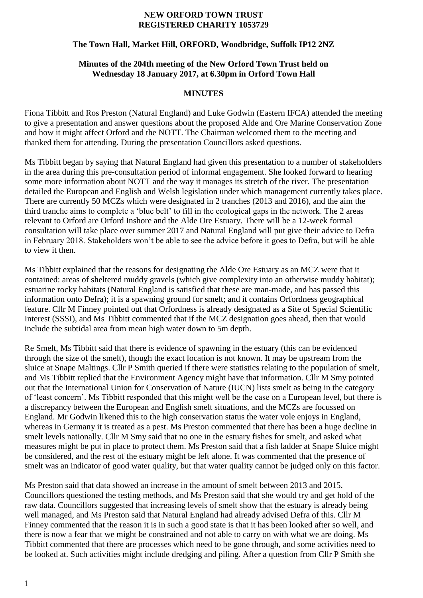#### **NEW ORFORD TOWN TRUST REGISTERED CHARITY 1053729**

## **The Town Hall, Market Hill, ORFORD, Woodbridge, Suffolk IP12 2NZ**

#### **Minutes of the 204th meeting of the New Orford Town Trust held on Wednesday 18 January 2017, at 6.30pm in Orford Town Hall**

#### **MINUTES**

Fiona Tibbitt and Ros Preston (Natural England) and Luke Godwin (Eastern IFCA) attended the meeting to give a presentation and answer questions about the proposed Alde and Ore Marine Conservation Zone and how it might affect Orford and the NOTT. The Chairman welcomed them to the meeting and thanked them for attending. During the presentation Councillors asked questions.

Ms Tibbitt began by saying that Natural England had given this presentation to a number of stakeholders in the area during this pre-consultation period of informal engagement. She looked forward to hearing some more information about NOTT and the way it manages its stretch of the river. The presentation detailed the European and English and Welsh legislation under which management currently takes place. There are currently 50 MCZs which were designated in 2 tranches (2013 and 2016), and the aim the third tranche aims to complete a 'blue belt' to fill in the ecological gaps in the network. The 2 areas relevant to Orford are Orford Inshore and the Alde Ore Estuary. There will be a 12-week formal consultation will take place over summer 2017 and Natural England will put give their advice to Defra in February 2018. Stakeholders won't be able to see the advice before it goes to Defra, but will be able to view it then.

Ms Tibbitt explained that the reasons for designating the Alde Ore Estuary as an MCZ were that it contained: areas of sheltered muddy gravels (which give complexity into an otherwise muddy habitat); estuarine rocky habitats (Natural England is satisfied that these are man-made, and has passed this information onto Defra); it is a spawning ground for smelt; and it contains Orfordness geographical feature. Cllr M Finney pointed out that Orfordness is already designated as a Site of Special Scientific Interest (SSSI), and Ms Tibbitt commented that if the MCZ designation goes ahead, then that would include the subtidal area from mean high water down to 5m depth.

Re Smelt, Ms Tibbitt said that there is evidence of spawning in the estuary (this can be evidenced through the size of the smelt), though the exact location is not known. It may be upstream from the sluice at Snape Maltings. Cllr P Smith queried if there were statistics relating to the population of smelt, and Ms Tibbitt replied that the Environment Agency might have that information. Cllr M Smy pointed out that the International Union for Conservation of Nature (IUCN) lists smelt as being in the category of 'least concern'. Ms Tibbitt responded that this might well be the case on a European level, but there is a discrepancy between the European and English smelt situations, and the MCZs are focussed on England. Mr Godwin likened this to the high conservation status the water vole enjoys in England, whereas in Germany it is treated as a pest. Ms Preston commented that there has been a huge decline in smelt levels nationally. Cllr M Smy said that no one in the estuary fishes for smelt, and asked what measures might be put in place to protect them. Ms Preston said that a fish ladder at Snape Sluice might be considered, and the rest of the estuary might be left alone. It was commented that the presence of smelt was an indicator of good water quality, but that water quality cannot be judged only on this factor.

Ms Preston said that data showed an increase in the amount of smelt between 2013 and 2015. Councillors questioned the testing methods, and Ms Preston said that she would try and get hold of the raw data. Councillors suggested that increasing levels of smelt show that the estuary is already being well managed, and Ms Preston said that Natural England had already advised Defra of this. Cllr M Finney commented that the reason it is in such a good state is that it has been looked after so well, and there is now a fear that we might be constrained and not able to carry on with what we are doing. Ms Tibbitt commented that there are processes which need to be gone through, and some activities need to be looked at. Such activities might include dredging and piling. After a question from Cllr P Smith she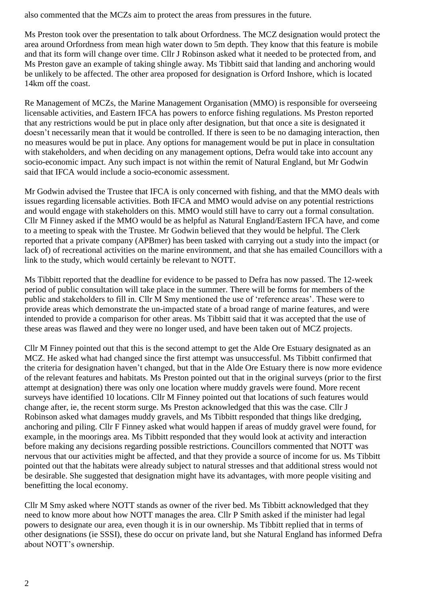also commented that the MCZs aim to protect the areas from pressures in the future.

Ms Preston took over the presentation to talk about Orfordness. The MCZ designation would protect the area around Orfordness from mean high water down to 5m depth. They know that this feature is mobile and that its form will change over time. Cllr J Robinson asked what it needed to be protected from, and Ms Preston gave an example of taking shingle away. Ms Tibbitt said that landing and anchoring would be unlikely to be affected. The other area proposed for designation is Orford Inshore, which is located 14km off the coast.

Re Management of MCZs, the Marine Management Organisation (MMO) is responsible for overseeing licensable activities, and Eastern IFCA has powers to enforce fishing regulations. Ms Preston reported that any restrictions would be put in place only after designation, but that once a site is designated it doesn't necessarily mean that it would be controlled. If there is seen to be no damaging interaction, then no measures would be put in place. Any options for management would be put in place in consultation with stakeholders, and when deciding on any management options, Defra would take into account any socio-economic impact. Any such impact is not within the remit of Natural England, but Mr Godwin said that IFCA would include a socio-economic assessment.

Mr Godwin advised the Trustee that IFCA is only concerned with fishing, and that the MMO deals with issues regarding licensable activities. Both IFCA and MMO would advise on any potential restrictions and would engage with stakeholders on this. MMO would still have to carry out a formal consultation. Cllr M Finney asked if the MMO would be as helpful as Natural England/Eastern IFCA have, and come to a meeting to speak with the Trustee. Mr Godwin believed that they would be helpful. The Clerk reported that a private company (APBmer) has been tasked with carrying out a study into the impact (or lack of) of recreational activities on the marine environment, and that she has emailed Councillors with a link to the study, which would certainly be relevant to NOTT.

Ms Tibbitt reported that the deadline for evidence to be passed to Defra has now passed. The 12-week period of public consultation will take place in the summer. There will be forms for members of the public and stakeholders to fill in. Cllr M Smy mentioned the use of 'reference areas'. These were to provide areas which demonstrate the un-impacted state of a broad range of marine features, and were intended to provide a comparison for other areas. Ms Tibbitt said that it was accepted that the use of these areas was flawed and they were no longer used, and have been taken out of MCZ projects.

Cllr M Finney pointed out that this is the second attempt to get the Alde Ore Estuary designated as an MCZ. He asked what had changed since the first attempt was unsuccessful. Ms Tibbitt confirmed that the criteria for designation haven't changed, but that in the Alde Ore Estuary there is now more evidence of the relevant features and habitats. Ms Preston pointed out that in the original surveys (prior to the first attempt at designation) there was only one location where muddy gravels were found. More recent surveys have identified 10 locations. Cllr M Finney pointed out that locations of such features would change after, ie, the recent storm surge. Ms Preston acknowledged that this was the case. Cllr J Robinson asked what damages muddy gravels, and Ms Tibbitt responded that things like dredging, anchoring and piling. Cllr F Finney asked what would happen if areas of muddy gravel were found, for example, in the moorings area. Ms Tibbitt responded that they would look at activity and interaction before making any decisions regarding possible restrictions. Councillors commented that NOTT was nervous that our activities might be affected, and that they provide a source of income for us. Ms Tibbitt pointed out that the habitats were already subject to natural stresses and that additional stress would not be desirable. She suggested that designation might have its advantages, with more people visiting and benefitting the local economy.

Cllr M Smy asked where NOTT stands as owner of the river bed. Ms Tibbitt acknowledged that they need to know more about how NOTT manages the area. Cllr P Smith asked if the minister had legal powers to designate our area, even though it is in our ownership. Ms Tibbitt replied that in terms of other designations (ie SSSI), these do occur on private land, but she Natural England has informed Defra about NOTT's ownership.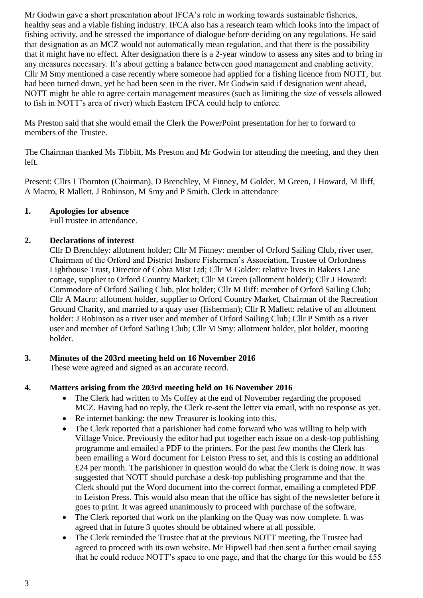Mr Godwin gave a short presentation about IFCA's role in working towards sustainable fisheries, healthy seas and a viable fishing industry. IFCA also has a research team which looks into the impact of fishing activity, and he stressed the importance of dialogue before deciding on any regulations. He said that designation as an MCZ would not automatically mean regulation, and that there is the possibility that it might have no effect. After designation there is a 2-year window to assess any sites and to bring in any measures necessary. It's about getting a balance between good management and enabling activity. Cllr M Smy mentioned a case recently where someone had applied for a fishing licence from NOTT, but had been turned down, yet he had been seen in the river. Mr Godwin said if designation went ahead, NOTT might be able to agree certain management measures (such as limiting the size of vessels allowed to fish in NOTT's area of river) which Eastern IFCA could help to enforce.

Ms Preston said that she would email the Clerk the PowerPoint presentation for her to forward to members of the Trustee.

The Chairman thanked Ms Tibbitt, Ms Preston and Mr Godwin for attending the meeting, and they then left.

Present: Cllrs I Thornton (Chairman), D Brenchley, M Finney, M Golder, M Green, J Howard, M Iliff, A Macro, R Mallett, J Robinson, M Smy and P Smith. Clerk in attendance

## **1. Apologies for absence**

Full trustee in attendance.

## **2. Declarations of interest**

Cllr D Brenchley: allotment holder; Cllr M Finney: member of Orford Sailing Club, river user, Chairman of the Orford and District Inshore Fishermen's Association, Trustee of Orfordness Lighthouse Trust, Director of Cobra Mist Ltd; Cllr M Golder: relative lives in Bakers Lane cottage, supplier to Orford Country Market; Cllr M Green (allotment holder); Cllr J Howard: Commodore of Orford Sailing Club, plot holder; Cllr M Iliff: member of Orford Sailing Club; Cllr A Macro: allotment holder, supplier to Orford Country Market, Chairman of the Recreation Ground Charity, and married to a quay user (fisherman); Cllr R Mallett: relative of an allotment holder: J Robinson as a river user and member of Orford Sailing Club; Cllr P Smith as a river user and member of Orford Sailing Club; Cllr M Smy: allotment holder, plot holder, mooring holder.

## **3. Minutes of the 203rd meeting held on 16 November 2016**

These were agreed and signed as an accurate record.

## **4. Matters arising from the 203rd meeting held on 16 November 2016**

- The Clerk had written to Ms Coffey at the end of November regarding the proposed MCZ. Having had no reply, the Clerk re-sent the letter via email, with no response as yet.
- Re internet banking: the new Treasurer is looking into this.
- The Clerk reported that a parishioner had come forward who was willing to help with Village Voice. Previously the editor had put together each issue on a desk-top publishing programme and emailed a PDF to the printers. For the past few months the Clerk has been emailing a Word document for Leiston Press to set, and this is costing an additional £24 per month. The parishioner in question would do what the Clerk is doing now. It was suggested that NOTT should purchase a desk-top publishing programme and that the Clerk should put the Word document into the correct format, emailing a completed PDF to Leiston Press. This would also mean that the office has sight of the newsletter before it goes to print. It was agreed unanimously to proceed with purchase of the software.
- The Clerk reported that work on the planking on the Quay was now complete. It was agreed that in future 3 quotes should be obtained where at all possible.
- The Clerk reminded the Trustee that at the previous NOTT meeting, the Trustee had agreed to proceed with its own website. Mr Hipwell had then sent a further email saying that he could reduce NOTT's space to one page, and that the charge for this would be £55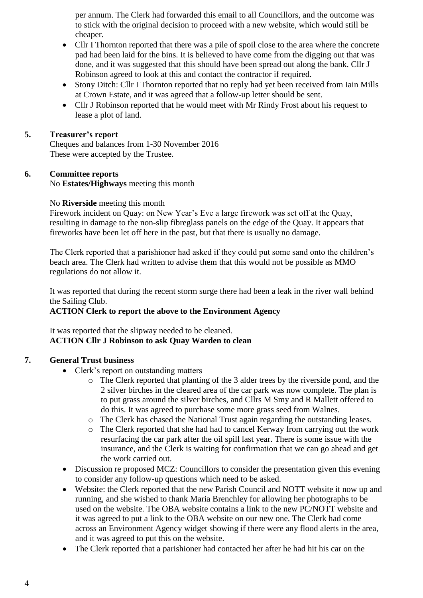per annum. The Clerk had forwarded this email to all Councillors, and the outcome was to stick with the original decision to proceed with a new website, which would still be cheaper.

- Cllr I Thornton reported that there was a pile of spoil close to the area where the concrete pad had been laid for the bins. It is believed to have come from the digging out that was done, and it was suggested that this should have been spread out along the bank. Cllr J Robinson agreed to look at this and contact the contractor if required.
- Stony Ditch: Cllr I Thornton reported that no reply had yet been received from Iain Mills at Crown Estate, and it was agreed that a follow-up letter should be sent.
- Cllr J Robinson reported that he would meet with Mr Rindy Frost about his request to lease a plot of land.

## **5. Treasurer's report**

Cheques and balances from 1-30 November 2016 These were accepted by the Trustee.

## **6. Committee reports**

No **Estates/Highways** meeting this month

## No **Riverside** meeting this month

Firework incident on Quay: on New Year's Eve a large firework was set off at the Quay, resulting in damage to the non-slip fibreglass panels on the edge of the Quay. It appears that fireworks have been let off here in the past, but that there is usually no damage.

The Clerk reported that a parishioner had asked if they could put some sand onto the children's beach area. The Clerk had written to advise them that this would not be possible as MMO regulations do not allow it.

It was reported that during the recent storm surge there had been a leak in the river wall behind the Sailing Club.

## **ACTION Clerk to report the above to the Environment Agency**

## It was reported that the slipway needed to be cleaned. **ACTION Cllr J Robinson to ask Quay Warden to clean**

## **7. General Trust business**

- Clerk's report on outstanding matters
	- o The Clerk reported that planting of the 3 alder trees by the riverside pond, and the 2 silver birches in the cleared area of the car park was now complete. The plan is to put grass around the silver birches, and Cllrs M Smy and R Mallett offered to do this. It was agreed to purchase some more grass seed from Walnes.
	- o The Clerk has chased the National Trust again regarding the outstanding leases.
	- o The Clerk reported that she had had to cancel Kerway from carrying out the work resurfacing the car park after the oil spill last year. There is some issue with the insurance, and the Clerk is waiting for confirmation that we can go ahead and get the work carried out.
- Discussion re proposed MCZ: Councillors to consider the presentation given this evening to consider any follow-up questions which need to be asked.
- Website: the Clerk reported that the new Parish Council and NOTT website it now up and running, and she wished to thank Maria Brenchley for allowing her photographs to be used on the website. The OBA website contains a link to the new PC/NOTT website and it was agreed to put a link to the OBA website on our new one. The Clerk had come across an Environment Agency widget showing if there were any flood alerts in the area, and it was agreed to put this on the website.
- The Clerk reported that a parishioner had contacted her after he had hit his car on the